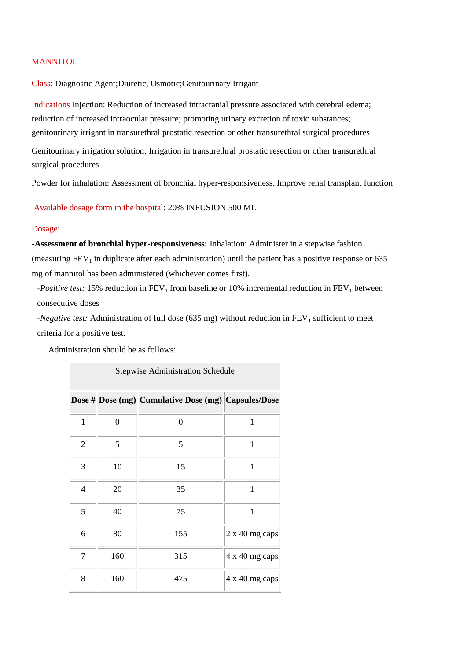## **MANNITOL**

Class: Diagnostic Agent;Diuretic, Osmotic;Genitourinary Irrigant

Indications Injection: Reduction of increased intracranial pressure associated with cerebral edema; reduction of increased intraocular pressure; promoting urinary excretion of toxic substances; genitourinary irrigant in transurethral prostatic resection or other transurethral surgical procedures

Genitourinary irrigation solution: Irrigation in transurethral prostatic resection or other transurethral surgical procedures

Powder for inhalation: Assessment of bronchial hyper-responsiveness. Improve renal transplant function

Available dosage form in the hospital: 20% INFUSION 500 ML

## Dosage:

**-Assessment of bronchial hyper-responsiveness:** Inhalation: Administer in a stepwise fashion (measuring  $FEV<sub>1</sub>$  in duplicate after each administration) until the patient has a positive response or 635 mg of mannitol has been administered (whichever comes first).

*-Positive test:* 15% reduction in FEV<sub>1</sub> from baseline or 10% incremental reduction in FEV<sub>1</sub> between consecutive doses

*-Negative test:* Administration of full dose (635 mg) without reduction in FEV<sub>1</sub> sufficient to meet criteria for a positive test.

Administration should be as follows:

| <b>Stepwise Administration Schedule</b> |                  |                                                     |                |  |
|-----------------------------------------|------------------|-----------------------------------------------------|----------------|--|
|                                         |                  | Dose # Dose (mg) Cumulative Dose (mg) Capsules/Dose |                |  |
| 1                                       | $\boldsymbol{0}$ | $\overline{0}$                                      | 1              |  |
| $\overline{2}$                          | 5                | 5                                                   | 1              |  |
| 3                                       | 10               | 15                                                  | $\mathbf{1}$   |  |
| 4                                       | 20               | 35                                                  | 1              |  |
| 5                                       | 40               | 75                                                  | $\mathbf{1}$   |  |
| 6                                       | 80               | 155                                                 | 2 x 40 mg caps |  |
| 7                                       | 160              | 315                                                 | 4 x 40 mg caps |  |
| 8                                       | 160              | 475                                                 | 4 x 40 mg caps |  |